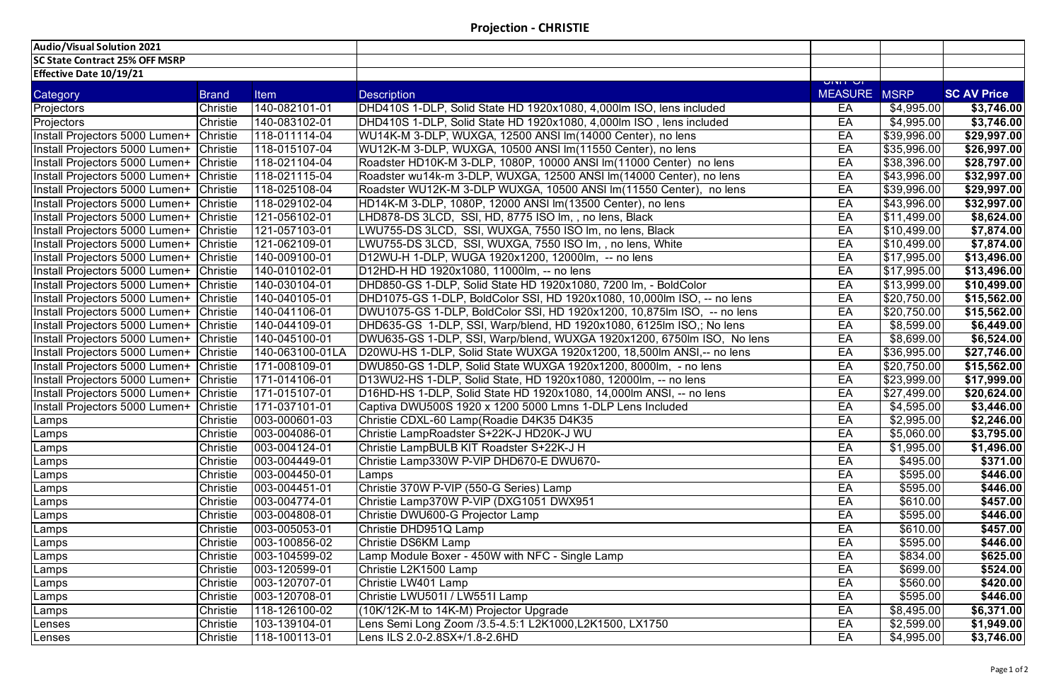| <b>Effective Date 10/19/21</b> |  |  |
|--------------------------------|--|--|
|--------------------------------|--|--|

| Audio/Visual Solution 2021            |                 |                 |                                                                         |                                        |                    |                    |
|---------------------------------------|-----------------|-----------------|-------------------------------------------------------------------------|----------------------------------------|--------------------|--------------------|
| <b>SC State Contract 25% OFF MSRP</b> |                 |                 |                                                                         |                                        |                    |                    |
| <b>Effective Date 10/19/21</b>        |                 |                 |                                                                         |                                        |                    |                    |
| Category                              | <b>Brand</b>    | <b>Item</b>     | <b>Description</b>                                                      | <u>וט דויוט</u><br><b>MEASURE MSRP</b> |                    | <b>SC AV Price</b> |
| Projectors                            | Christie        | 140-082101-01   | DHD410S 1-DLP, Solid State HD 1920x1080, 4,000lm ISO, lens included     | EA                                     | \$4,995.00         | \$3,746.00         |
| Projectors                            | Christie        | 140-083102-01   | DHD410S 1-DLP, Solid State HD 1920x1080, 4,000lm ISO, lens included     | EA                                     | \$4,995.00         | \$3,746.00         |
| Install Projectors 5000 Lumen+        | <b>Christie</b> | 118-011114-04   | WU14K-M 3-DLP, WUXGA, 12500 ANSI Im(14000 Center), no lens              | EA                                     | \$39,996.00        | \$29,997.00        |
| Install Projectors 5000 Lumen+        | <b>Christie</b> | 118-015107-04   | WU12K-M 3-DLP, WUXGA, 10500 ANSI Im(11550 Center), no lens              | EA                                     | \$35,996.00        | \$26,997.00        |
| Install Projectors 5000 Lumen+        | <b>Christie</b> | 118-021104-04   | Roadster HD10K-M 3-DLP, 1080P, 10000 ANSI Im(11000 Center) no lens      | EA                                     | \$38,396.00        | \$28,797.00        |
| Install Projectors 5000 Lumen+        | <b>Christie</b> | 118-021115-04   | Roadster wu14k-m 3-DLP, WUXGA, 12500 ANSI Im (14000 Center), no lens    | EA                                     | \$43,996.00        | \$32,997.00        |
| Install Projectors 5000 Lumen+        | <b>Christie</b> | 118-025108-04   | Roadster WU12K-M 3-DLP WUXGA, 10500 ANSI Im(11550 Center), no lens      | EA                                     | \$39,996.00        | \$29,997.00        |
| Install Projectors 5000 Lumen+        | <b>Christie</b> | 118-029102-04   | HD14K-M 3-DLP, 1080P, 12000 ANSI Im(13500 Center), no lens              | EA                                     | \$43,996.00        | \$32,997.00        |
| Install Projectors 5000 Lumen+        | <b>Christie</b> | 121-056102-01   | LHD878-DS 3LCD, SSI, HD, 8775 ISO Im,, no lens, Black                   | EA                                     | \$11,499.00        | \$8,624.00         |
| Install Projectors 5000 Lumen+        | <b>Christie</b> | 121-057103-01   | LWU755-DS 3LCD, SSI, WUXGA, 7550 ISO Im, no lens, Black                 | EA                                     | \$10,499.00        | \$7,874.00         |
| Install Projectors 5000 Lumen+        | <b>Christie</b> | 121-062109-01   | LWU755-DS 3LCD, SSI, WUXGA, 7550 ISO Im, , no lens, White               | EA                                     | \$10,499.00        | \$7,874.00         |
| Install Projectors 5000 Lumen+        | <b>Christie</b> | 140-009100-01   | D12WU-H 1-DLP, WUGA 1920x1200, 12000lm, -- no lens                      | EA                                     | \$17,995.00        | \$13,496.00        |
| Install Projectors 5000 Lumen+        | <b>Christie</b> | 140-010102-01   | D12HD-H HD 1920x1080, 11000lm, -- no lens                               | EA                                     | \$17,995.00        | \$13,496.00        |
| Install Projectors 5000 Lumen+        | <b>Christie</b> | 140-030104-01   | DHD850-GS 1-DLP, Solid State HD 1920x1080, 7200 lm, - BoldColor         | EA                                     | \$13,999.00        | \$10,499.00        |
| Install Projectors 5000 Lumen+        | <b>Christie</b> | 140-040105-01   | DHD1075-GS 1-DLP, BoldColor SSI, HD 1920x1080, 10,000lm ISO, -- no lens | EA                                     | \$20,750.00        | \$15,562.00        |
| Install Projectors 5000 Lumen+        | <b>Christie</b> | 140-041106-01   | DWU1075-GS 1-DLP, BoldColor SSI, HD 1920x1200, 10,875lm ISO, -- no lens | EA                                     | \$20,750.00        | \$15,562.00        |
| Install Projectors 5000 Lumen+        | <b>Christie</b> | 140-044109-01   | DHD635-GS 1-DLP, SSI, Warp/blend, HD 1920x1080, 6125lm ISO,; No lens    | EA                                     | \$8,599.00         | \$6,449.00         |
| Install Projectors 5000 Lumen+        | <b>Christie</b> | 140-045100-01   | DWU635-GS 1-DLP, SSI, Warp/blend, WUXGA 1920x1200, 6750lm ISO, No lens  | EA                                     | $\sqrt{$8,699.00}$ | \$6,524.00         |
| Install Projectors 5000 Lumen+        | <b>Christie</b> | 140-063100-01LA | D20WU-HS 1-DLP, Solid State WUXGA 1920x1200, 18,500lm ANSI,-- no lens   | EA                                     | \$36,995.00        | \$27,746.00        |
| Install Projectors 5000 Lumen+        | <b>Christie</b> | 171-008109-01   | DWU850-GS 1-DLP, Solid State WUXGA 1920x1200, 8000lm, - no lens         | EA                                     | \$20,750.00        | \$15,562.00        |
| Install Projectors 5000 Lumen+        | <b>Christie</b> | 171-014106-01   | D13WU2-HS 1-DLP, Solid State, HD 1920x1080, 12000lm, -- no lens         | EA                                     | \$23,999.00        | \$17,999.00        |
| Install Projectors 5000 Lumen+        | <b>Christie</b> | 171-015107-01   | D16HD-HS 1-DLP, Solid State HD 1920x1080, 14,000lm ANSI, -- no lens     | EA                                     | \$27,499.00        | \$20,624.00        |
| Install Projectors 5000 Lumen+        | <b>Christie</b> | 171-037101-01   | Captiva DWU500S 1920 x 1200 5000 Lmns 1-DLP Lens Included               | EA                                     | \$4,595.00         | \$3,446.00         |
| Lamps                                 | <b>Christie</b> | 003-000601-03   | Christie CDXL-60 Lamp(Roadie D4K35 D4K35                                | EA                                     | \$2,995.00         | \$2,246.00         |
| Lamps                                 | Christie        | 003-004086-01   | Christie LampRoadster S+22K-J HD20K-J WU                                | EA                                     | \$5,060.00         | \$3,795.00         |
| Lamps                                 | Christie        | 003-004124-01   | Christie LampBULB KIT Roadster S+22K-J H                                | EA                                     | \$1,995.00         | \$1,496.00         |
| Lamps                                 | Christie        | 003-004449-01   | Christie Lamp330W P-VIP DHD670-E DWU670-                                | EA                                     | \$495.00           | \$371.00           |
| Lamps                                 | Christie        | 003-004450-01   | Lamps                                                                   | EA                                     | \$595.00           | \$446.00           |
| Lamps                                 | Christie        | 003-004451-01   | Christie 370W P-VIP (550-G Series) Lamp                                 | EA                                     | \$595.00           | \$446.00           |
| Lamps                                 | Christie        | 003-004774-01   | Christie Lamp370W P-VIP (DXG1051 DWX951                                 | EA                                     | \$610.00           | \$457.00           |
| Lamps                                 | Christie        | 003-004808-01   | Christie DWU600-G Projector Lamp                                        | EA                                     | \$595.00           | \$446.00           |
| Lamps                                 | Christie        | 003-005053-01   | Christie DHD951Q Lamp                                                   | EA                                     | $\sqrt{$610.00}$   | \$457.00           |
| Lamps                                 | Christie        | 003-100856-02   | <b>Christie DS6KM Lamp</b>                                              | EA                                     | \$595.00           | \$446.00           |
| Lamps                                 | Christie        | 003-104599-02   | Lamp Module Boxer - 450W with NFC - Single Lamp                         | EA                                     | \$834.00           | \$625.00           |
| Lamps                                 | Christie        | 003-120599-01   | Christie L2K1500 Lamp                                                   | EA                                     | \$699.00           | \$524.00           |
| Lamps                                 | Christie        | 003-120707-01   | Christie LW401 Lamp                                                     | EA                                     | \$560.00           | \$420.00           |
| Lamps                                 | Christie        | 003-120708-01   | Christie LWU501I / LW551I Lamp                                          | EA                                     | \$595.00           | \$446.00           |
| Lamps                                 | Christie        | 118-126100-02   | (10K/12K-M to 14K-M) Projector Upgrade                                  | EA                                     | \$8,495.00         | \$6,371.00         |
| Lenses                                | Christie        | 103-139104-01   | Lens Semi Long Zoom /3.5-4.5:1 L2K1000,L2K1500, LX1750                  | EA                                     | \$2,599.00         | \$1,949.00         |
| Lenses                                | Christie        | 118-100113-01   | Lens ILS 2.0-2.8SX+/1.8-2.6HD                                           | EA                                     | \$4,995.00         | \$3,746.00         |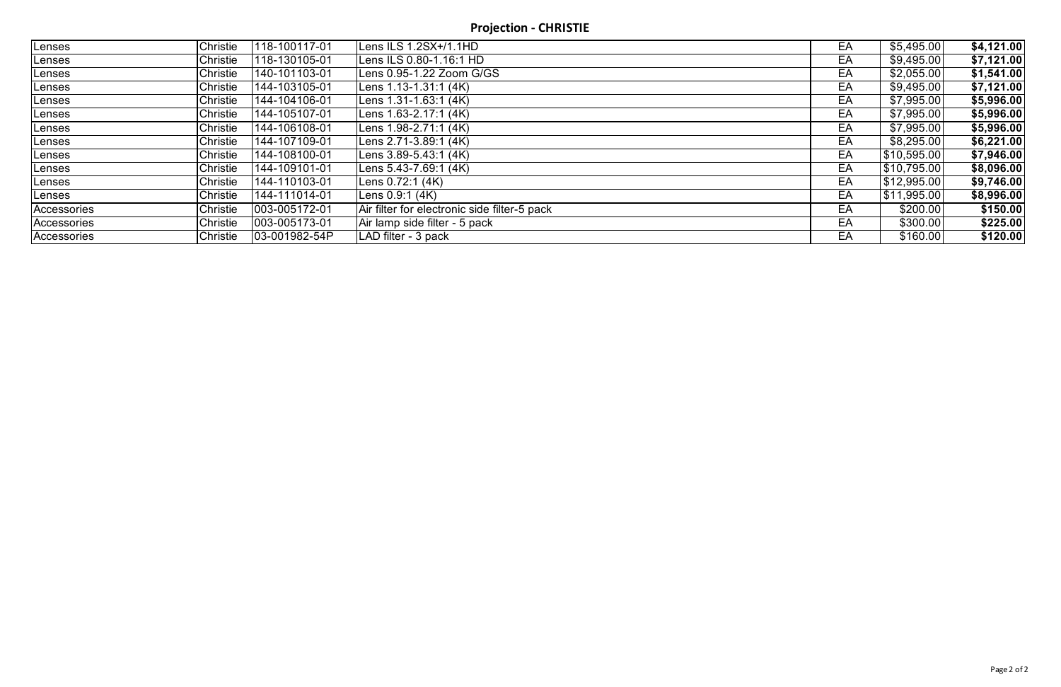**Projection - CHRISTIE**

| Lenses        | Christie | 118-100117-01 | Lens ILS 1.2SX+/1.1HD                        | EA | \$5,495.00  | \$4,121.00 |
|---------------|----------|---------------|----------------------------------------------|----|-------------|------------|
| Lenses        | Christie | 118-130105-01 | Lens ILS 0.80-1.16:1 HD                      | EA | \$9,495.00  | \$7,121.00 |
| Lenses        | Christie | 140-101103-01 | Lens 0.95-1.22 Zoom G/GS                     | EA | \$2,055.00  | \$1,541.00 |
| Lenses        | Christie | 144-103105-01 | Lens 1.13-1.31:1 (4K)                        | EA | \$9,495.00  | \$7,121.00 |
| Lenses        | Christie | 144-104106-01 | Lens 1.31-1.63:1 (4K)                        | EA | \$7,995.00  | \$5,996.00 |
| Lenses        | Christie | 144-105107-01 | Lens 1.63-2.17:1 (4K)                        | EA | \$7,995.00  | \$5,996.00 |
| <b>Lenses</b> | Christie | 144-106108-01 | Lens 1.98-2.71:1 (4K)                        | EA | \$7,995.00  | \$5,996.00 |
| Lenses        | Christie | 144-107109-01 | Lens 2.71-3.89:1 (4K)                        | EA | \$8,295.00  | \$6,221.00 |
| Lenses        | Christie | 144-108100-01 | Lens 3.89-5.43:1 (4K)                        | EA | \$10,595.00 | \$7,946.00 |
| Lenses        | Christie | 144-109101-01 | Lens 5.43-7.69:1 (4K)                        | EA | \$10,795.00 | \$8,096.00 |
| Lenses        | Christie | 144-110103-01 | Lens 0.72:1 (4K)                             | EA | \$12,995.00 | \$9,746.00 |
| Lenses        | Christie | 144-111014-01 | Lens 0.9:1 (4K)                              | EA | \$11,995.00 | \$8,996.00 |
| Accessories   | Christie | 003-005172-01 | Air filter for electronic side filter-5 pack | EA | \$200.00    | \$150.00   |
| Accessories   | Christie | 003-005173-01 | Air lamp side filter - 5 pack                | EA | \$300.00    | \$225.00   |
| Accessories   | Christie | 03-001982-54P | LAD filter - 3 pack                          | EA | \$160.00    | \$120.00   |